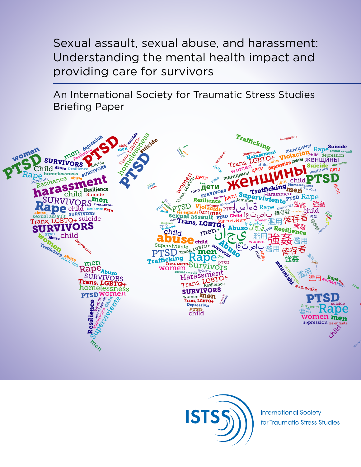Sexual assault, sexual abuse, and harassment: Understanding the mental health impact and providing care for survivors

An International Society for Traumatic Stress Studies Briefing Paper





**International Society** for Traumatic Stress Studies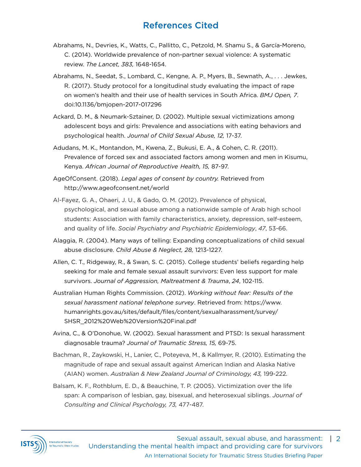## References Cited

- Abrahams, N., Devries, K., Watts, C., Pallitto, C., Petzold, M. Shamu S., & García-Moreno, C. (2014). Worldwide prevalence of non-partner sexual violence: A systematic review. *The Lancet, 383,* 1648-1654.
- Abrahams, N., Seedat, S., Lombard, C., Kengne, A. P., Myers, B., Sewnath, A., . . . Jewkes, R. (2017). Study protocol for a longitudinal study evaluating the impact of rape on women's health and their use of health services in South Africa. *BMJ Open, 7*. doi:10.1136/bmjopen-2017-017296
- Ackard, D. M., & Neumark-Sztainer, D. (2002). Multiple sexual victimizations among adolescent boys and girls: Prevalence and associations with eating behaviors and psychological health. *Journal of Child Sexual Abuse, 12,* 17-37.
- Adudans, M. K., Montandon, M., Kwena, Z., Bukusi, E. A., & Cohen, C. R. (2011). Prevalence of forced sex and associated factors among women and men in Kisumu, Kenya. *African Journal of Reproductive Health, 15,* 87-97.
- AgeOfConsent. (2018). *Legal ages of consent by country.* Retrieved from http://www.ageofconsent.net/world
- Al-Fayez, G. A., Ohaeri, J. U., & Gado, O. M. (2012). Prevalence of physical, psychological, and sexual abuse among a nationwide sample of Arab high school students: Association with family characteristics, anxiety, depression, self-esteem, and quality of life. *Social Psychiatry and Psychiatric Epidemiology*, *47*, 53-66.
- Alaggia, R. (2004). Many ways of telling: Expanding conceptualizations of child sexual abuse disclosure. *Child Abuse & Neglect, 28,* 1213-1227.
- Allen, C. T., Ridgeway, R., & Swan, S. C. (2015). College students' beliefs regarding help seeking for male and female sexual assault survivors: Even less support for male survivors. *Journal of Aggression, Maltreatment & Trauma*, *24*, 102-115.
- Australian Human Rights Commission. (2012). *Working without fear: Results of the sexual harassment national telephone survey*. Retrieved from: https://www. humanrights.gov.au/sites/default/files/content/sexualharassment/survey/ SHSR\_2012%20Web%20Version%20Final.pdf
- Avina, C., & O'Donohue, W. (2002). Sexual harassment and PTSD: Is sexual harassment diagnosable trauma? *Journal of Traumatic Stress, 15,* 69-75.
- Bachman, R., Zaykowski, H., Lanier, C., Poteyeva, M., & Kallmyer, R. (2010). Estimating the magnitude of rape and sexual assault against American Indian and Alaska Native (AIAN) women. *Australian & New Zealand Journal of Criminology, 43,* 199-222.
- Balsam, K. F., Rothblum, E. D., & Beauchine, T. P. (2005). Victimization over the life span: A comparison of lesbian, gay, bisexual, and heterosexual siblings. *Journal of Consulting and Clinical Psychology, 73,* 477-487.

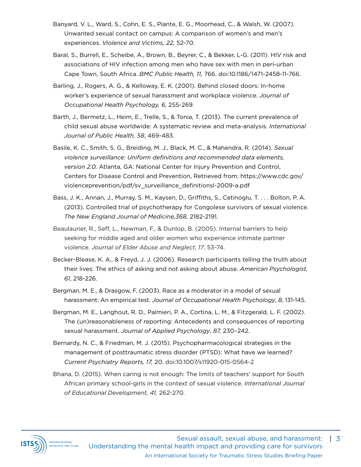- Banyard, V. L., Ward, S., Cohn, E. S., Plante, E. G., Moorhead, C., & Walsh, W. (2007). Unwanted sexual contact on campus: A comparison of women's and men's experiences. *Violence and Victims, 22,* 52-70.
- Baral, S., Burrell, E., Scheibe, A., Brown, B., Beyrer, C., & Bekker, L-G. (2011). HIV risk and associations of HIV infection among men who have sex with men in peri-urban Cape Town, South Africa. *BMC Public Health, 11,* 766. doi:10.1186/1471-2458-11-766.
- Barling, J., Rogers, A. G., & Kelloway, E. K. (2001). Behind closed doors: In-home worker's experience of sexual harassment and workplace violence. *Journal of Occupational Health Psychology, 6,* 255-269.
- Barth, J., Bermetz, L., Heim, E., Trelle, S., & Tonia, T. (2013). The current prevalence of child sexual abuse worldwide: A systematic review and meta-analysis. *International Journal of Public Health, 58*, 469-483.
- Basile, K. C., Smith, S. G., Breiding, M. J., Black, M. C., & Mahendra, R. (2014). *Sexual violence surveillance: Uniform definitions and recommended data elements, version 2.0.* Atlanta, GA: National Center for Injury Prevention and Control, Centers for Disease Control and Prevention, Retrieved from: https://www.cdc.gov/ violenceprevention/pdf/sv\_surveillance\_definitionsl-2009-a.pdf
- Bass, J. K., Annan, J., Murray, S. M., Kaysen, D., Griffiths, S., Cetinoglu, T. . . . Bolton, P. A. (2013). Controlled trial of psychotherapy for Congolese survivors of sexual violence. *The New England Journal of Medicine,368,* 2182-2191.
- Beaulaurier, R., Seff, L., Newman, F., & Dunlop, B. (2005). Internal barriers to help seeking for middle aged and older women who experience intimate partner violence. *Journal of Elder Abuse and Neglect*, *17*, 53-74.
- Becker-Blease, K. A., & Freyd, J. J. (2006). Research participants telling the truth about their lives: The ethics of asking and not asking about abuse. *American Psychologist, 61*, 218-226.
- Bergman, M. E., & Drasgow, F. (2003). Race as a moderator in a model of sexual harassment: An empirical test. *Journal of Occupational Health Psychology*, *8*, 131-145.
- Bergman, M. E., Langhout, R. D., Palmieri, P. A., Cortina, L. M., & Fitzgerald, L. F. (2002). The (un)reasonableness of reporting: Antecedents and consequences of reporting sexual harassment. *Journal of Applied Psychology*, *87,* 230–242.
- Bernardy, N. C., & Friedman, M. J. (2015). Psychopharmacological strategies in the management of posttraumatic stress disorder (PTSD): What have we learned? *Current Psychiatry Reports, 17,* 20. doi:10.1007/s11920-015-0564-2
- Bhana, D. (2015). When caring is not enough: The limits of teachers' support for South African primary school-girls in the context of sexual violence. *International Journal of Educational Development, 41,* 262-270.

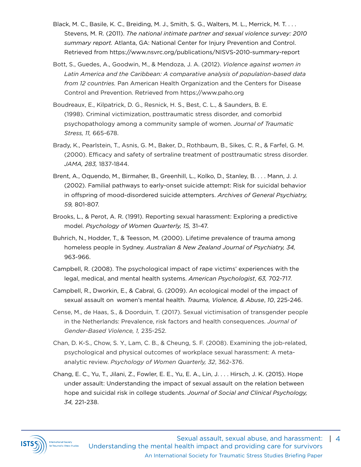- Black, M. C., Basile, K. C., Breiding, M. J., Smith, S. G., Walters, M. L., Merrick, M. T. . . . Stevens, M. R. (2011). *The national intimate partner and sexual violence survey: 2010 summary report.* Atlanta, GA: National Center for Injury Prevention and Control. Retrieved from https://www.nsvrc.org/publications/NISVS-2010-summary-report
- Bott, S., Guedes, A., Goodwin, M., & Mendoza, J. A. (2012). *Violence against women in Latin America and the Caribbean: A comparative analysis of population-based data from 12 countries.* Pan American Health Organization and the Centers for Disease Control and Prevention. Retrieved from https://www.paho.org
- Boudreaux, E., Kilpatrick, D. G., Resnick, H. S., Best, C. L., & Saunders, B. E. (1998). Criminal victimization, posttraumatic stress disorder, and comorbid psychopathology among a community sample of women. *Journal of Traumatic Stress, 11,* 665-678.
- Brady, K., Pearlstein, T., Asnis, G. M., Baker, D., Rothbaum, B., Sikes, C. R., & Farfel, G. M. (2000). Efficacy and safety of sertraline treatment of posttraumatic stress disorder. *JAMA, 283,* 1837-1844.
- Brent, A., Oquendo, M., Birmaher, B., Greenhill, L., Kolko, D., Stanley, B. . . . Mann, J. J. (2002). Familial pathways to early-onset suicide attempt: Risk for suicidal behavior in offspring of mood-disordered suicide attempters. *Archives of General Psychiatry, 59,* 801-807.
- Brooks, L., & Perot, A. R. (1991). Reporting sexual harassment: Exploring a predictive model. *Psychology of Women Quarterly, 15,* 31-47.
- Buhrich, N., Hodder, T., & Teesson, M. (2000). Lifetime prevalence of trauma among homeless people in Sydney. *Australian & New Zealand Journal of Psychiatry, 34,*  963-966.
- Campbell, R. (2008). The psychological impact of rape victims' experiences with the legal, medical, and mental health systems. *American Psychologist*, *63,* 702-717.
- Campbell, R., Dworkin, E., & Cabral, G. (2009). An ecological model of the impact of sexual assault on women's mental health. *Trauma, Violence, & Abuse*, *10*, 225-246.
- Cense, M., de Haas, S., & Doorduin, T. (2017). Sexual victimisation of transgender people in the Netherlands: Prevalence, risk factors and health consequences. *Journal of Gender-Based Violence, 1,* 235-252.
- Chan, D. K-S., Chow, S. Y., Lam, C. B., & Cheung, S. F. (2008). Examining the job-related, psychological and physical outcomes of workplace sexual harassment: A metaanalytic review. *Psychology of Women Quarterly, 32*, 362-376.
- Chang, E. C., Yu, T., Jilani, Z., Fowler, E. E., Yu, E. A., Lin, J. . . . Hirsch, J. K. (2015). Hope under assault: Understanding the impact of sexual assault on the relation between hope and suicidal risk in college students. *Journal of Social and Clinical Psychology, 34,* 221-238.

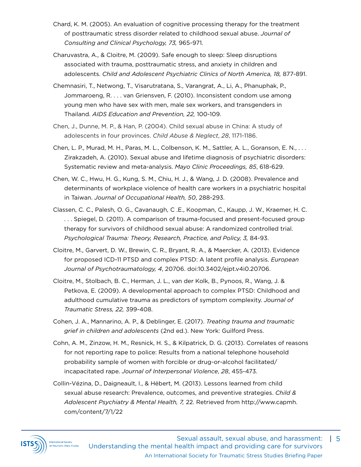- Chard, K. M. (2005). An evaluation of cognitive processing therapy for the treatment of posttraumatic stress disorder related to childhood sexual abuse. *Journal of Consulting and Clinical Psychology, 73,* 965-971.
- Charuvastra, A., & Cloitre, M. (2009). Safe enough to sleep: Sleep disruptions associated with trauma, posttraumatic stress, and anxiety in children and adolescents. *Child and Adolescent Psychiatric Clinics of North America, 18,* 877-891.
- Chemnasiri, T., Netwong, T., Visarutratana, S., Varangrat, A., Li, A., Phanuphak, P., Jommaroeng, R. . . . van Griensven, F. (2010). Inconsistent condom use among young men who have sex with men, male sex workers, and transgenders in Thailand. *AIDS Education and Prevention, 22,* 100-109.
- Chen, J., Dunne, M. P., & Han, P. (2004). Child sexual abuse in China: A study of adolescents in four provinces. *Child Abuse & Neglect*, *28*, 1171-1186.
- Chen, L. P., Murad, M. H., Paras, M. L., Colbenson, K. M., Sattler, A. L., Goranson, E. N., . . . Zirakzadeh, A. (2010). Sexual abuse and lifetime diagnosis of psychiatric disorders: Systematic review and meta-analysis. *Mayo Clinic Proceedings, 85*, 618-629.
- Chen, W. C., Hwu, H. G., Kung, S. M., Chiu, H. J., & Wang, J. D. (2008). Prevalence and determinants of workplace violence of health care workers in a psychiatric hospital in Taiwan. *Journal of Occupational Health, 50*, 288-293.
- Classen, C. C., Palesh, O. G., Cavanaugh, C .E., Koopman, C., Kaupp, J. W., Kraemer, H. C. . . . Spiegel, D. (2011). A comparison of trauma-focused and present-focused group therapy for survivors of childhood sexual abuse: A randomized controlled trial. *Psychological Trauma: Theory, Research, Practice, and Policy, 3,* 84-93.
- Cloitre, M., Garvert, D. W., Brewin, C. R., Bryant, R. A., & Maercker, A. (2013). Evidence for proposed ICD-11 PTSD and complex PTSD: A latent profile analysis. *European Journal of Psychotraumatology, 4*, 20706. doi:10.3402/ejpt.v4i0.20706.
- Cloitre, M., Stolbach, B. C., Herman, J. L., van der Kolk, B., Pynoos, R., Wang, J. & Petkova, E. (2009). A developmental approach to complex PTSD: Childhood and adulthood cumulative trauma as predictors of symptom complexity. *Journal of Traumatic Stress, 22,* 399-408.
- Cohen, J. A., Mannarino, A. P., & Deblinger, E. (2017). *Treating trauma and traumatic grief in children and adolescents* (2nd ed.). New York: Guilford Press.
- Cohn, A. M., Zinzow, H. M., Resnick, H. S., & Kilpatrick, D. G. (2013). Correlates of reasons for not reporting rape to police: Results from a national telephone household probability sample of women with forcible or drug-or-alcohol facilitated/ incapacitated rape. *Journal of Interpersonal Violence*, *28*, 455-473.
- Collin-Vézina, D., Daigneault, I., & Hébert, M. (2013). Lessons learned from child sexual abuse research: Prevalence, outcomes, and preventive strategies. *Child & Adolescent Psychiatry & Mental Health, 7,* 22. Retrieved from http://www.capmh. com/content/7/1/22

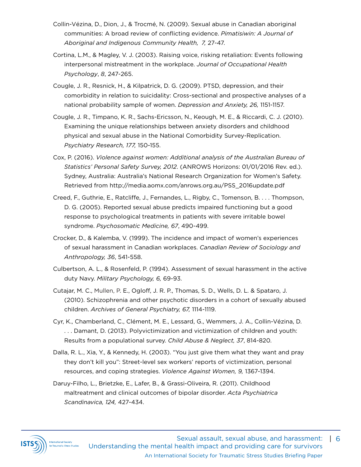- Collin-Vézina, D., Dion, J., & Trocmé, N. (2009). Sexual abuse in Canadian aboriginal communities: A broad review of conflicting evidence. *Pimatisiwin: A Journal of Aboriginal and Indigenous Community Health, 7,* 27-47.
- Cortina, L.M., & Magley, V. J. (2003). Raising voice, risking retaliation: Events following interpersonal mistreatment in the workplace. *Journal of Occupational Health Psychology*, *8*, 247-265.
- Cougle, J. R., Resnick, H., & Kilpatrick, D. G. (2009). PTSD, depression, and their comorbidity in relation to suicidality: Cross-sectional and prospective analyses of a national probability sample of women. *Depression and Anxiety, 26,* 1151-1157.
- Cougle, J. R., Timpano, K. R., Sachs-Ericsson, N., Keough, M. E., & Riccardi, C. J. (2010). Examining the unique relationships between anxiety disorders and childhood physical and sexual abuse in the National Comorbidity Survey-Replication. *Psychiatry Research, 177,* 150-155.
- Cox, P. (2016). *Violence against women: Additional analysis of the Australian Bureau of Statistics' Personal Safety Survey, 2012*. (ANROWS Horizons: 01/01/2016 Rev. ed.). Sydney, Australia: Australia's National Research Organization for Women's Safety. Retrieved from http://media.aomx.com/anrows.org.au/PSS\_2016update.pdf
- Creed, F., Guthrie, E., Ratcliffe, J., Fernandes, L., Rigby, C., Tomenson, B. . . . Thompson, D. G. (2005). Reported sexual abuse predicts impaired functioning but a good response to psychological treatments in patients with severe irritable bowel syndrome. *Psychosomatic Medicine, 67*, 490-499.
- Crocker, D., & Kalemba, V. (1999). The incidence and impact of women's experiences of sexual harassment in Canadian workplaces. *Canadian Review of Sociology and Anthropology, 36*, 541-558.
- Culbertson, A. L., & Rosenfeld, P. (1994). Assessment of sexual harassment in the active duty Navy. *Military Psychology, 6,* 69-93.
- Cutajar, M. C., Mullen, P. E., Ogloff, J. R. P., Thomas, S. D., Wells, D. L. & Spataro, J. (2010). Schizophrenia and other psychotic disorders in a cohort of sexually abused children. *Archives of General Psychiatry, 67,* 1114-1119.
- Cyr, K., Chamberland, C., Clément, M. E., Lessard, G., Wemmers, J. A., Collin-Vézina, D. . . . Damant, D. (2013). Polyvictimization and victimization of children and youth: Results from a populational survey. *Child Abuse & Neglect, 37*, 814-820.
- Dalla, R. L., Xia, Y., & Kennedy, H. (2003). "You just give them what they want and pray they don't kill you": Street-level sex workers' reports of victimization, personal resources, and coping strategies. *Violence Against Women, 9,* 1367-1394.
- Daruy-Filho, L., Brietzke, E., Lafer, B., & Grassi-Oliveira, R. (2011). Childhood maltreatment and clinical outcomes of bipolar disorder. *Acta Psychiatrica Scandinavica, 124,* 427-434.

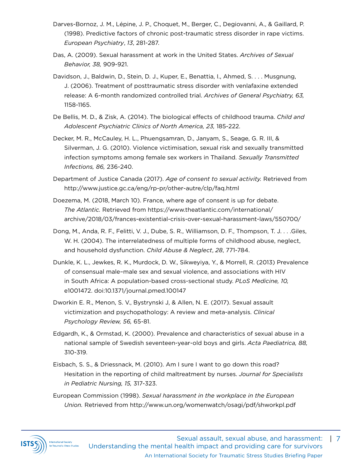- Darves-Bornoz, J. M., Lépine, J. P., Choquet, M., Berger, C., Degiovanni, A., & Gaillard, P. (1998). Predictive factors of chronic post-traumatic stress disorder in rape victims. *European Psychiatry*, *13*, 281-287.
- Das, A. (2009). Sexual harassment at work in the United States. *Archives of Sexual Behavior, 38,* 909-921.
- Davidson, J., Baldwin, D., Stein, D. J., Kuper, E., Benattia, I., Ahmed, S. . . . Musgnung, J. (2006). Treatment of posttraumatic stress disorder with venlafaxine extended release: A 6-month randomized controlled trial. *Archives of General Psychiatry, 63,*  1158-1165.
- De Bellis, M. D., & Zisk, A. (2014). The biological effects of childhood trauma. *Child and Adolescent Psychiatric Clinics of North America, 23,* 185-222.
- Decker, M. R., McCauley, H. L., Phuengsamran, D., Janyam, S., Seage, G. R. III, & Silverman, J. G. (2010). Violence victimisation, sexual risk and sexually transmitted infection symptoms among female sex workers in Thailand. *Sexually Transmitted Infections, 86,* 236-240.
- Department of Justice Canada (2017). *Age of consent to sexual activity.* Retrieved from http://www.justice.gc.ca/eng/rp-pr/other-autre/clp/faq.html
- Doezema, M. (2018, March 10). France, where age of consent is up for debate. *The Atlantic.* Retrieved from https://www.theatlantic.com/international/ archive/2018/03/frances-existential-crisis-over-sexual-harassment-laws/550700/
- Dong, M., Anda, R. F., Felitti, V. J., Dube, S. R., Williamson, D. F., Thompson, T. J. . . .Giles, W. H. (2004). The interrelatedness of multiple forms of childhood abuse, neglect, and household dysfunction. *Child Abuse & Neglect*, *28*, 771-784.
- Dunkle, K. L., Jewkes, R. K., Murdock, D. W., Sikweyiya, Y., & Morrell, R. (2013) Prevalence of consensual male–male sex and sexual violence, and associations with HIV in South Africa: A population-based cross-sectional study. *PLoS Medicine, 10,* e1001472. doi:10.1371/journal.pmed.100147
- Dworkin E. R., Menon, S. V., Bystrynski J, & Allen, N. E. (2017). Sexual assault victimization and psychopathology: A review and meta-analysis. *Clinical Psychology Review, 56,* 65-81.
- Edgardh, K., & Ormstad, K. (2000). Prevalence and characteristics of sexual abuse in a national sample of Swedish seventeen-year-old boys and girls. *Acta Paediatrica, 88,*  310-319.
- Eisbach, S. S., & Driessnack, M. (2010). Am I sure I want to go down this road? Hesitation in the reporting of child maltreatment by nurses. *Journal for Specialists in Pediatric Nursing, 15,* 317-323.
- European Commission (1998). *Sexual harassment in the workplace in the European Union.* Retrieved from http://www.un.org/womenwatch/osagi/pdf/shworkpl.pdf

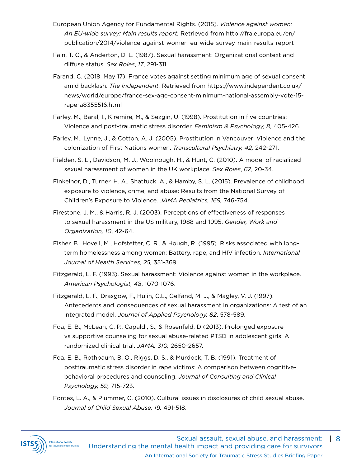- European Union Agency for Fundamental Rights. (2015). *Violence against women: An EU-wide survey: Main results report.* Retrieved from http://fra.europa.eu/en/ publication/2014/violence-against-women-eu-wide-survey-main-results-report
- Fain, T. C., & Anderton, D. L. (1987). Sexual harassment: Organizational context and diffuse status. *Sex Roles*, *17*, 291-311.
- Farand, C. (2018, May 17). France votes against setting minimum age of sexual consent amid backlash. *The Independent.* Retrieved from https://www.independent.co.uk/ news/world/europe/france-sex-age-consent-minimum-national-assembly-vote-15 rape-a8355516.html
- Farley, M., Baral, I., Kiremire, M., & Sezgin, U. (1998). Prostitution in five countries: Violence and post-traumatic stress disorder. *Feminism & Psychology, 8,* 405-426.
- Farley, M., Lynne, J., & Cotton, A. J. (2005). Prostitution in Vancouver: Violence and the colonization of First Nations women. *Transcultural Psychiatry, 42,* 242-271.
- Fielden, S. L., Davidson, M. J., Woolnough, H., & Hunt, C. (2010). A model of racialized sexual harassment of women in the UK workplace. *Sex Roles*, *62*, 20-34.
- Finkelhor, D., Turner, H. A., Shattuck, A., & Hamby, S. L. (2015). Prevalence of childhood exposure to violence, crime, and abuse: Results from the National Survey of Children's Exposure to Violence. *JAMA Pediatrics, 169,* 746-754.
- Firestone, J. M., & Harris, R. J. (2003). Perceptions of effectiveness of responses to sexual harassment in the US military, 1988 and 1995. *Gender, Work and Organization, 10*, 42-64.
- Fisher, B., Hovell, M., Hofstetter, C. R., & Hough, R. (1995). Risks associated with longterm homelessness among women: Battery, rape, and HIV infection. *International Journal of Health Services, 25,* 351-369.
- Fitzgerald, L. F. (1993). Sexual harassment: Violence against women in the workplace. *American Psychologist, 48*, 1070-1076.
- Fitzgerald, L. F., Drasgow, F., Hulin, C.L., Gelfand, M. J., & Magley, V. J. (1997). Antecedents and consequences of sexual harassment in organizations: A test of an integrated model. *Journal of Applied Psychology, 82*, 578-589.
- Foa, E. B., McLean, C. P., Capaldi, S., & Rosenfeld, D (2013). Prolonged exposure vs supportive counseling for sexual abuse-related PTSD in adolescent girls: A randomized clinical trial. *JAMA, 310,* 2650-2657.
- Foa, E. B., Rothbaum, B. O., Riggs, D. S., & Murdock, T. B. (1991). Treatment of posttraumatic stress disorder in rape victims: A comparison between cognitivebehavioral procedures and counseling. *Journal of Consulting and Clinical Psychology, 59,* 715-723.
- Fontes, L. A., & Plummer, C. (2010). Cultural issues in disclosures of child sexual abuse. *Journal of Child Sexual Abuse, 19,* 491-518.

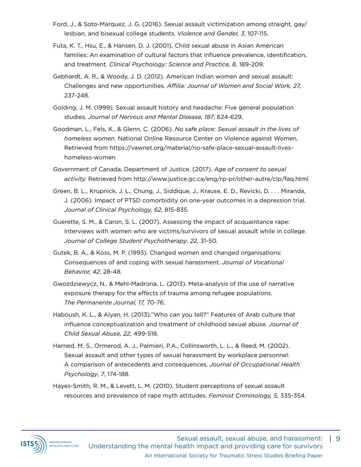- Ford, J., & Soto-Marquez, J. G. (2016). Sexual assault victimization among straight, gay/ lesbian, and bisexual college students. *Violence and Gender, 3*, 107-115.
- Futa, K. T., Hsu, E., & Hansen, D. J. (2001). Child sexual abuse in Asian American families: An examination of cultural factors that influence prevalence, identification, and treatment. *Clinical Psychology: Science and Practice, 8,* 189-209.
- Gebhardt, A. R., & Woody, J. D. (2012). American Indian women and sexual assault: Challenges and new opportunities. *Affilia: Journal of Women and Social Work, 27,* 237-248.
- Golding, J. M. (1999). Sexual assault history and headache: Five general population studies. *Journal of Nervous and Mental Disease, 187*, 624-629.
- Goodman, L., Fels, K., & Glenn, C. (2006). *No safe place: Sexual assault in the lives of homeless women.* National Online Resource Center on Violence against Women. Retrieved from https://vawnet.org/material/no-safe-place-sexual-assault-liveshomeless-women
- Government of Canada, Department of Justice. (2017). *Age of consent to sexual activity.* Retrieved from http://www.justice.gc.ca/eng/rp-pr/other-autre/clp/faq.html
- Green, B. L., Krupnick, J. L., Chung, J., Siddique, J., Krause, E. D., Revicki, D. . . . Miranda, J. (2006). Impact of PTSD comorbidity on one-year outcomes in a depression trial. *Journal of Clinical Psychology, 62,* 815-835.
- Guerette, S. M., & Caron, S. L. (2007). Assessing the impact of acquaintance rape: Interviews with women who are victims/survivors of sexual assault while in college. *Journal of College Student Psychotherapy*, *22,* 31-50.
- Gutek, B. A., & Koss, M. P. (1993). Changed women and changed organisations: Consequences of and coping with sexual harassment. *Journal of Vocational Behavior, 42*, 28-48.
- Gwozdziewycz, N., & Mehl-Madrona, L. (2013). Meta-analysis of the use of narrative exposure therapy for the effects of trauma among refugee populations. *The Permanente Journal, 17,* 70-76.
- Haboush, K. L., & Alyan, H. (2013)."Who can you tell?" Features of Arab culture that influence conceptualization and treatment of childhood sexual abuse. *Journal of Child Sexual Abuse, 22,* 499-518.
- Harned, M. S., Ormerod, A. J., Palmieri, P.A., Collinsworth, L. L., & Reed, M. (2002). Sexual assault and other types of sexual harassment by workplace personnel: A comparison of antecedents and consequences. *Journal of Occupational Health Psychology*, *7*, 174-188.
- Hayes-Smith, R. M., & Levett, L. M. (2010). Student perceptions of sexual assault resources and prevalence of rape myth attitudes. *Feminist Criminology, 5,* 335-354.

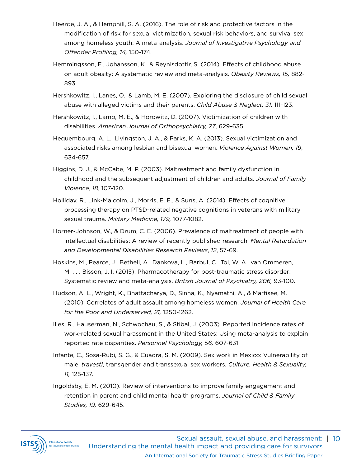- Heerde, J. A., & Hemphill, S. A. (2016). The role of risk and protective factors in the modification of risk for sexual victimization, sexual risk behaviors, and survival sex among homeless youth: A meta-analysis. *Journal of Investigative Psychology and Offender Profiling, 14,* 150-174.
- Hemmingsson, E., Johansson, K., & Reynisdottir, S. (2014). Effects of childhood abuse on adult obesity: A systematic review and meta-analysis. *Obesity Reviews, 15,* 882- 893.
- Hershkowitz, I., Lanes, O., & Lamb, M. E. (2007). Exploring the disclosure of child sexual abuse with alleged victims and their parents. *Child Abuse & Neglect, 31,* 111-123.
- Hershkowitz, I., Lamb, M. E., & Horowitz, D. (2007). Victimization of children with disabilities. *American Journal of Orthopsychiatry, 77*, 629-635.
- Hequembourg, A. L., Livingston, J. A., & Parks, K. A. (2013). Sexual victimization and associated risks among lesbian and bisexual women. *Violence Against Women, 19*, 634-657.
- Higgins, D. J., & McCabe, M. P. (2003). Maltreatment and family dysfunction in childhood and the subsequent adjustment of children and adults. *Journal of Family Violence*, *18*, 107-120.
- Holliday, R., Link-Malcolm, J., Morris, E. E., & Surís, A. (2014). Effects of cognitive processing therapy on PTSD-related negative cognitions in veterans with military sexual trauma. *Military Medicine, 179,* 1077-1082.
- Horner-Johnson, W., & Drum, C. E. (2006). Prevalence of maltreatment of people with intellectual disabilities: A review of recently published research. *Mental Retardation and Developmental Disabilities Research Reviews*, *12*, 57-69.
- Hoskins, M., Pearce, J., Bethell, A., Dankova, L., Barbul, C., Tol, W. A., van Ommeren, M. . . . Bisson, J. I. (2015). Pharmacotherapy for post-traumatic stress disorder: Systematic review and meta-analysis. *British Journal of Psychiatry, 206,* 93-100.
- Hudson, A. L., Wright, K., Bhattacharya, D., Sinha, K., Nyamathi, A., & Marfisee, M. (2010). Correlates of adult assault among homeless women. *Journal of Health Care for the Poor and Underserved, 21,* 1250-1262.
- Ilies, R., Hauserman, N., Schwochau, S., & Stibal, J. (2003). Reported incidence rates of work-related sexual harassment in the United States: Using meta-analysis to explain reported rate disparities. *Personnel Psychology, 56,* 607-631.
- Infante, C., Sosa-Rubi, S. G., & Cuadra, S. M. (2009). Sex work in Mexico: Vulnerability of male, *travesti*, transgender and transsexual sex workers. *Culture, Health & Sexuality, 11,* 125-137.
- Ingoldsby, E. M. (2010). Review of interventions to improve family engagement and retention in parent and child mental health programs. *Journal of Child & Family Studies, 19,* 629-645.

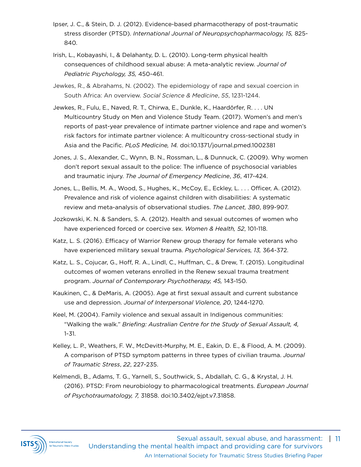- Ipser, J. C., & Stein, D. J. (2012). Evidence-based pharmacotherapy of post-traumatic stress disorder (PTSD). *International Journal of Neuropsychopharmacology, 15,* 825- 840.
- Irish, L., Kobayashi, I., & Delahanty, D. L. (2010). Long-term physical health consequences of childhood sexual abuse: A meta-analytic review. *Journal of Pediatric Psychology, 35,* 450-461.
- Jewkes, R., & Abrahams, N. (2002). The epidemiology of rape and sexual coercion in South Africa: An overview. *Social Science & Medicine*, *55*, 1231-1244.
- Jewkes, R., Fulu, E., Naved, R. T., Chirwa, E., Dunkle, K., Haardörfer, R. . . . UN Multicountry Study on Men and Violence Study Team. (2017). Women's and men's reports of past-year prevalence of intimate partner violence and rape and women's risk factors for intimate partner violence: A multicountry cross-sectional study in Asia and the Pacific. *PLoS Medicine, 14.* doi:10.1371/journal.pmed.1002381
- Jones, J. S., Alexander, C., Wynn, B. N., Rossman, L., & Dunnuck, C. (2009). Why women don't report sexual assault to the police: The influence of psychosocial variables and traumatic injury. *The Journal of Emergency Medicine*, *36*, 417-424.
- Jones, L., Bellis, M. A., Wood, S., Hughes, K., McCoy, E., Eckley, L. . . . Officer, A. (2012). Prevalence and risk of violence against children with disabilities: A systematic review and meta-analysis of observational studies. *The Lancet, 380*, 899-907.
- Jozkowski, K. N. & Sanders, S. A. (2012). Health and sexual outcomes of women who have experienced forced or coercive sex. *Women & Health, 52*, 101-118.
- Katz, L. S. (2016). Efficacy of Warrior Renew group therapy for female veterans who have experienced military sexual trauma. *Psychological Services, 13,* 364-372.
- Katz, L. S., Cojucar, G., Hoff, R. A., Lindl, C., Huffman, C., & Drew, T. (2015). Longitudinal outcomes of women veterans enrolled in the Renew sexual trauma treatment program. *Journal of Contemporary Psychotherapy, 45,* 143-150.
- Kaukinen, C., & DeMaris, A. (2005). Age at first sexual assault and current substance use and depression. *Journal of Interpersonal Violence, 20*, 1244-1270.
- Keel, M. (2004). Family violence and sexual assault in Indigenous communities: "Walking the walk." *Briefing: Australian Centre for the Study of Sexual Assault, 4,*  1-31.
- Kelley, L. P., Weathers, F. W., McDevitt-Murphy, M. E., Eakin, D. E., & Flood, A. M. (2009). A comparison of PTSD symptom patterns in three types of civilian trauma. *Journal of Traumatic Stress*, *22*, 227-235.
- Kelmendi, B., Adams, T. G., Yarnell, S., Southwick, S., Abdallah, C. G., & Krystal, J. H. (2016). PTSD: From neurobiology to pharmacological treatments. *European Journal of Psychotraumatology, 7,* 31858. doi:10.3402/ejpt.v7.31858.

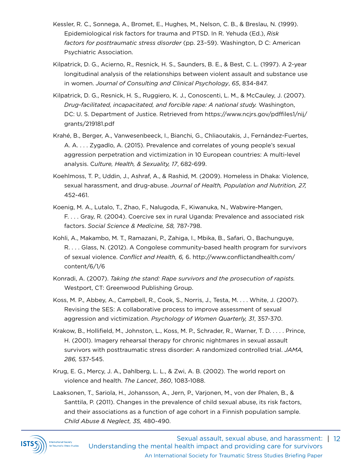- Kessler, R. C., Sonnega, A., Bromet, E., Hughes, M., Nelson, C. B., & Breslau, N. (1999). Epidemiological risk factors for trauma and PTSD. In R. Yehuda (Ed.), *Risk factors for posttraumatic stress disorder* (pp. 23–59). Washington, D C: American Psychiatric Association.
- Kilpatrick, D. G., Acierno, R., Resnick, H. S., Saunders, B. E., & Best, C. L. (1997). A 2-year longitudinal analysis of the relationships between violent assault and substance use in women. *Journal of Consulting and Clinical Psychology*, *65*, 834-847.
- Kilpatrick, D. G., Resnick, H. S., Ruggiero, K. J., Conoscenti, L. M., & McCauley, J. (2007). *Drug-facilitated, incapacitated, and forcible rape: A national study.* Washington, DC: U. S. Department of Justice. Retrieved from https://www.ncjrs.gov/pdffiles1/nij/ grants/219181.pdf
- Krahé, B., Berger, A., Vanwesenbeeck, I., Bianchi, G., Chliaoutakis, J., Fernández-Fuertes, A. A. . . . Zygadlo, A. (2015). Prevalence and correlates of young people's sexual aggression perpetration and victimization in 10 European countries: A multi-level analysis. C*ulture, Health, & Sexuality, 17*, 682-699.
- Koehlmoss, T. P., Uddin, J., Ashraf, A., & Rashid, M. (2009). Homeless in Dhaka: Violence, sexual harassment, and drug-abuse. *Journal of Health, Population and Nutrition, 27,* 452-461.
- Koenig, M. A., Lutalo, T., Zhao, F., Nalugoda, F., Kiwanuka, N., Wabwire-Mangen, F. . . . Gray, R. (2004). Coercive sex in rural Uganda: Prevalence and associated risk factors. *Social Science & Medicine, 58,* 787-798.
- Kohli, A., Makambo, M. T., Ramazani, P., Zahiga, I., Mbika, B., Safari, O., Bachunguye, R. . . . Glass, N. (2012). A Congolese community-based health program for survivors of sexual violence. *Conflict and Health, 6,* 6. http://www.conflictandhealth.com/ content/6/1/6
- Konradi, A. (2007). *Taking the stand: Rape survivors and the prosecution of rapists.*  Westport, CT: Greenwood Publishing Group.
- Koss, M. P., Abbey, A., Campbell, R., Cook, S., Norris, J., Testa, M. . . . White, J. (2007). Revising the SES: A collaborative process to improve assessment of sexual aggression and victimization. *Psychology of Women Quarterly, 31*, 357-370.
- Krakow, B., Hollifield, M., Johnston, L., Koss, M. P., Schrader, R., Warner, T. D. . . . . Prince, H. (2001). Imagery rehearsal therapy for chronic nightmares in sexual assault survivors with posttraumatic stress disorder: A randomized controlled trial. *JAMA, 286,* 537-545.
- Krug, E. G., Mercy, J. A., Dahlberg, L. L., & Zwi, A. B. (2002). The world report on violence and health. *The Lancet*, *360*, 1083-1088.
- Laaksonen, T., Sariola, H., Johansson, A., Jern, P., Varjonen, M., von der Phalen, B., & Santtila, P. (2011). Changes in the prevalence of child sexual abuse, its risk factors, and their associations as a function of age cohort in a Finnish population sample. *Child Abuse & Neglect, 35,* 480-490.

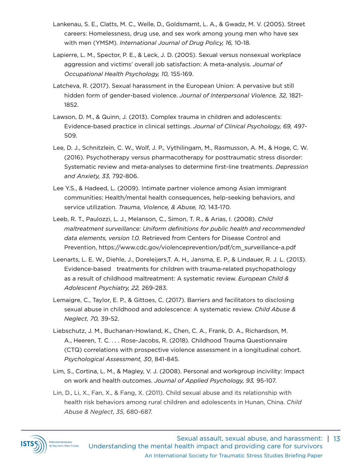- Lankenau, S. E., Clatts, M. C., Welle, D., Goldsmamt, L. A., & Gwadz, M. V. (2005). Street careers: Homelessness, drug use, and sex work among young men who have sex with men (YMSM). *International Journal of Drug Policy, 16,* 10-18.
- Lapierre, L. M., Spector, P. E., & Leck, J. D. (2005). Sexual versus nonsexual workplace aggression and victims' overall job satisfaction: A meta-analysis. *Journal of Occupational Health Psychology, 10,* 155-169.
- Latcheva, R. (2017). Sexual harassment in the European Union: A pervasive but still hidden form of gender-based violence. *Journal of Interpersonal Violence, 32,* 1821- 1852.
- Lawson, D. M., & Quinn, J. (2013). Complex trauma in children and adolescents: Evidence-based practice in clinical settings. *Journal of Clinical Psychology, 69,* 497- 509.
- Lee, D. J., Schnitzlein, C. W., Wolf, J. P., Vythilingam, M., Rasmusson, A. M., & Hoge, C. W. (2016). Psychotherapy versus pharmacotherapy for posttraumatic stress disorder: Systematic review and meta-analyses to determine first-line treatments. *Depression and Anxiety, 33,* 792-806.
- Lee Y.S., & Hadeed, L. (2009). Intimate partner violence among Asian immigrant communities: Health/mental health consequences, help-seeking behaviors, and service utilization. *Trauma, Violence, & Abuse, 10,* 143-170.
- Leeb, R. T., Paulozzi, L. J., Melanson, C., Simon, T. R., & Arias, I. (2008). *Child maltreatment surveillance: Uniform definitions for public health and recommended data elements, version 1.0.* Retrieved from Centers for Disease Control and Prevention, https://www.cdc.gov/violenceprevention/pdf/cm\_surveillance-a.pdf
- Leenarts, L. E. W., Diehle, J., Doreleijers,T. A. H., Jansma, E. P., & Lindauer, R. J. L. (2013). Evidence-based treatments for children with trauma-related psychopathology as a result of childhood maltreatment: A systematic review. *European Child & Adolescent Psychiatry, 22,* 269-283.
- Lemaigre, C., Taylor, E. P., & Gittoes, C. (2017). Barriers and facilitators to disclosing sexual abuse in childhood and adolescence: A systematic review. *Child Abuse & Neglect, 70,* 39-52.
- Liebschutz, J. M., Buchanan-Howland, K., Chen, C. A., Frank, D. A., Richardson, M. A., Heeren, T. C. . . . Rose-Jacobs, R. (2018). Childhood Trauma Questionnaire (CTQ) correlations with prospective violence assessment in a longitudinal cohort. *Psychological Assessment, 30*, 841-845.
- Lim, S., Cortina, L. M., & Magley, V. J. (2008). Personal and workgroup incivility: Impact on work and health outcomes. *Journal of Applied Psychology, 93,* 95-107.
- Lin, D., Li, X., Fan, X., & Fang, X. (2011). Child sexual abuse and its relationship with health risk behaviors among rural children and adolescents in Hunan, China. *Child Abuse & Neglect*, *35*, 680-687.

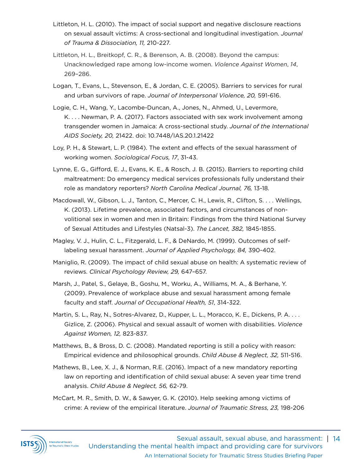- Littleton, H. L. (2010). The impact of social support and negative disclosure reactions on sexual assault victims: A cross-sectional and longitudinal investigation. *Journal of Trauma & Dissociation, 11,* 210-227.
- Littleton, H. L., Breitkopf, C. R., & Berenson, A. B. (2008). Beyond the campus: Unacknowledged rape among low-income women. *Violence Against Women*, *14*, 269–286.
- Logan, T., Evans, L., Stevenson, E., & Jordan, C. E. (2005). Barriers to services for rural and urban survivors of rape. *Journal of Interpersonal Violence, 20,* 591-616.
- Logie, C. H., Wang, Y., Lacombe-Duncan, A., Jones, N., Ahmed, U., Levermore, K. . . . Newman, P. A. (2017). Factors associated with sex work involvement among transgender women in Jamaica: A cross-sectional study. *Journal of the International AIDS Society, 20,* 21422. doi: 10.7448/IAS.20.1.21422
- Loy, P. H., & Stewart, L. P. (1984). The extent and effects of the sexual harassment of working women. *Sociological Focus, 17*, 31-43.
- Lynne, E. G., Gifford, E. J., Evans, K. E., & Rosch, J. B. (2015). Barriers to reporting child maltreatment: Do emergency medical services professionals fully understand their role as mandatory reporters? *North Carolina Medical Journal, 76,* 13-18.
- Macdowall, W., Gibson, L. J., Tanton, C., Mercer, C. H., Lewis, R., Clifton, S. . . . Wellings, K. (2013). Lifetime prevalence, associated factors, and circumstances of nonvolitional sex in women and men in Britain: Findings from the third National Survey of Sexual Attitudes and Lifestyles (Natsal-3). *The Lancet, 382,* 1845-1855.
- Magley, V. J., Hulin, C. L., Fitzgerald, L. F., & DeNardo, M. (1999). Outcomes of selflabeling sexual harassment. *Journal of Applied Psychology, 84,* 390-402.
- Maniglio, R. (2009). The impact of child sexual abuse on health: A systematic review of reviews. *Clinical Psychology Review, 29,* 647–657.
- Marsh, J., Patel, S., Gelaye, B., Goshu, M., Worku, A., Williams, M. A., & Berhane, Y. (2009). Prevalence of workplace abuse and sexual harassment among female faculty and staff. *Journal of Occupational Health, 51*, 314-322.
- Martin, S. L., Ray, N., Sotres-Alvarez, D., Kupper, L. L., Moracco, K. E., Dickens, P. A. . . . Gizlice, Z. (2006). Physical and sexual assault of women with disabilities. *Violence Against Women, 12,* 823-837.
- Matthews, B., & Bross, D. C. (2008). Mandated reporting is still a policy with reason: Empirical evidence and philosophical grounds. *Child Abuse & Neglect, 32,* 511-516.
- Mathews, B., Lee, X. J., & Norman, R.E. (2016). Impact of a new mandatory reporting law on reporting and identification of child sexual abuse: A seven year time trend analysis. *Child Abuse & Neglect, 56,* 62-79.
- McCart, M. R., Smith, D. W., & Sawyer, G. K. (2010). Help seeking among victims of crime: A review of the empirical literature. *Journal of Traumatic Stress, 23,* 198-206

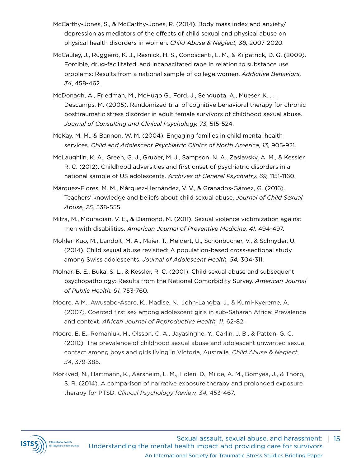- McCarthy-Jones, S., & McCarthy-Jones, R. (2014). Body mass index and anxiety/ depression as mediators of the effects of child sexual and physical abuse on physical health disorders in women. *Child Abuse & Neglect, 38,* 2007-2020.
- McCauley, J., Ruggiero, K. J., Resnick, H. S., Conoscenti, L. M., & Kilpatrick, D. G. (2009). Forcible, drug-facilitated, and incapacitated rape in relation to substance use problems: Results from a national sample of college women. *Addictive Behaviors*, *34*, 458-462.
- McDonagh, A., Friedman, M., McHugo G., Ford, J., Sengupta, A., Mueser, K. . . . Descamps, M. (2005). Randomized trial of cognitive behavioral therapy for chronic posttraumatic stress disorder in adult female survivors of childhood sexual abuse. *Journal of Consulting and Clinical Psychology, 73,* 515-524.
- McKay, M. M., & Bannon, W. M. (2004). Engaging families in child mental health services. *Child and Adolescent Psychiatric Clinics of North America, 13,* 905-921.
- McLaughlin, K. A., Green, G. J., Gruber, M. J., Sampson, N. A., Zaslavsky, A. M., & Kessler, R. C. (2012). Childhood adversities and first onset of psychiatric disorders in a national sample of US adolescents. *Archives of General Psychiatry, 69,* 1151-1160.
- Márquez-Flores, M. M., Márquez-Hernández, V. V., & Granados-Gámez, G. (2016). Teachers' knowledge and beliefs about child sexual abuse. *Journal of Child Sexual Abuse, 25,* 538-555.
- Mitra, M., Mouradian, V. E., & Diamond, M. (2011). Sexual violence victimization against men with disabilities. *American Journal of Preventive Medicine, 41,* 494-497.
- Mohler-Kuo, M., Landolt, M. A., Maier, T., Meidert, U., Schönbucher, V., & Schnyder, U. (2014). Child sexual abuse revisited: A population-based cross-sectional study among Swiss adolescents. *Journal of Adolescent Health, 54,* 304-311.
- Molnar, B. E., Buka, S. L., & Kessler, R. C. (2001). Child sexual abuse and subsequent psychopathology: Results from the National Comorbidity Survey. *American Journal of Public Health, 91,* 753-760.
- Moore, A.M., Awusabo-Asare, K., Madise, N., John-Langba, J., & Kumi-Kyereme, A. (2007). Coerced first sex among adolescent girls in sub-Saharan Africa: Prevalence and context. *African Journal of Reproductive Health, 11*, 62-82.
- Moore, E. E., Romaniuk, H., Olsson, C. A., Jayasinghe, Y., Carlin, J. B., & Patton, G. C. (2010). The prevalence of childhood sexual abuse and adolescent unwanted sexual contact among boys and girls living in Victoria, Australia. *Child Abuse & Neglect*, *34*, 379-385.
- Mørkved, N., Hartmann, K., Aarsheim, L. M., Holen, D., Milde, A. M., Bomyea, J., & Thorp, S. R. (2014). A comparison of narrative exposure therapy and prolonged exposure therapy for PTSD. *Clinical Psychology Review, 34,* 453-467.

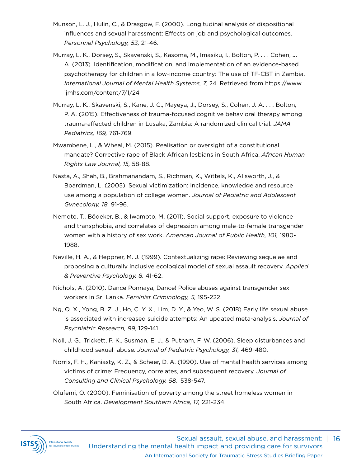- Munson, L. J., Hulin, C., & Drasgow, F. (2000). Longitudinal analysis of dispositional influences and sexual harassment: Effects on job and psychological outcomes. *Personnel Psychology, 53,* 21-46.
- Murray, L. K., Dorsey, S., Skavenski, S., Kasoma, M., Imasiku, I., Bolton, P. . . . Cohen, J. A. (2013). Identification, modification, and implementation of an evidence-based psychotherapy for children in a low-income country: The use of TF-CBT in Zambia. *International Journal of Mental Health Systems, 7,* 24. Retrieved from https://www. ijmhs.com/content/7/1/24
- Murray, L. K., Skavenski, S., Kane, J. C., Mayeya, J., Dorsey, S., Cohen, J. A. . . . Bolton, P. A. (2015). Effectiveness of trauma-focused cognitive behavioral therapy among trauma-affected children in Lusaka, Zambia: A randomized clinical trial. *JAMA Pediatrics, 169,* 761-769.
- Mwambene, L., & Wheal, M. (2015). Realisation or oversight of a constitutional mandate? Corrective rape of Black African lesbians in South Africa. *African Human Rights Law Journal, 15,* 58-88.
- Nasta, A., Shah, B., Brahmanandam, S., Richman, K., Wittels, K., Allsworth, J., & Boardman, L. (2005). Sexual victimization: Incidence, knowledge and resource use among a population of college women. *Journal of Pediatric and Adolescent Gynecology, 18,* 91-96.
- Nemoto, T., Bödeker, B., & Iwamoto, M. (2011). Social support, exposure to violence and transphobia, and correlates of depression among male-to-female transgender women with a history of sex work. *American Journal of Public Health, 101,* 1980- 1988.
- Neville, H. A., & Heppner, M. J. (1999). Contextualizing rape: Reviewing sequelae and proposing a culturally inclusive ecological model of sexual assault recovery. *Applied & Preventive Psychology, 8,* 41-62.
- Nichols, A. (2010). Dance Ponnaya, Dance! Police abuses against transgender sex workers in Sri Lanka. *Feminist Criminology, 5,* 195-222.
- Ng, Q. X., Yong, B. Z. J., Ho, C. Y. X., Lim, D. Y., & Yeo, W. S. (2018) Early life sexual abuse is associated with increased suicide attempts: An updated meta-analysis. *Journal of Psychiatric Research, 99,* 129-141.
- Noll, J. G., Trickett, P. K., Susman, E. J., & Putnam, F. W. (2006). Sleep disturbances and childhood sexual abuse. *Journal of Pediatric Psychology, 31,* 469-480.
- Norris, F. H., Kaniasty, K. Z., & Scheer, D. A. (1990). Use of mental health services among victims of crime: Frequency, correlates, and subsequent recovery. *Journal of Consulting and Clinical Psychology, 58,* 538-547.
- Olufemi, O. (2000). Feminisation of poverty among the street homeless women in South Africa. *Development Southern Africa, 17,* 221-234.

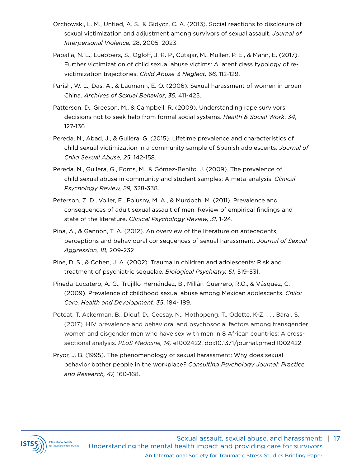- Orchowski, L. M., Untied, A. S., & Gidycz, C. A. (2013). Social reactions to disclosure of sexual victimization and adjustment among survivors of sexual assault. *Journal of Interpersonal Violence,* 28, 2005–2023.
- Papalia, N. L., Luebbers, S., Ogloff, J. R. P., Cutajar, M., Mullen, P. E., & Mann, E. (2017). Further victimization of child sexual abuse victims: A latent class typology of revictimization trajectories. *Child Abuse & Neglect, 66,* 112-129.
- Parish, W. L., Das, A., & Laumann, E. O. (2006). Sexual harassment of women in urban China. *Archives of Sexual Behavior*, *35*, 411-425.
- Patterson, D., Greeson, M., & Campbell, R. (2009). Understanding rape survivors' decisions not to seek help from formal social systems. *Health & Social Work*, *34*, 127-136.
- Pereda, N., Abad, J., & Guilera, G. (2015). Lifetime prevalence and characteristics of child sexual victimization in a community sample of Spanish adolescents. *Journal of Child Sexual Abuse, 25*, 142-158.
- Pereda, N., Guilera, G., Forns, M., & Gómez-Benito, J. (2009). The prevalence of child sexual abuse in community and student samples: A meta-analysis. *Clinical Psychology Review, 29,* 328-338.
- Peterson, Z. D., Voller, E., Polusny, M. A., & Murdoch, M. (2011). Prevalence and consequences of adult sexual assault of men: Review of empirical findings and state of the literature. *Clinical Psychology Review, 31,* 1-24.
- Pina, A., & Gannon, T. A. (2012). An overview of the literature on antecedents, perceptions and behavioural consequences of sexual harassment. *Journal of Sexual Aggression, 18,* 209-232
- Pine, D. S., & Cohen, J. A. (2002). Trauma in children and adolescents: Risk and treatment of psychiatric sequelae. *Biological Psychiatry, 51*, 519-531.
- Pineda-Lucatero, A. G., Trujillo-Hernández, B., Millán-Guerrero, R.O., & Vásquez, C. (2009). Prevalence of childhood sexual abuse among Mexican adolescents. *Child: Care, Health and Development*, *35*, 184- 189.
- Poteat, T. Ackerman, B., Diouf, D., Ceesay, N., Mothopeng, T., Odette, K-Z. . . . Baral, S. (2017). HIV prevalence and behavioral and psychosocial factors among transgender women and cisgender men who have sex with men in 8 African countries: A crosssectional analysis. *PLoS Medicine, 14,* e1002422. doi:10.1371/journal.pmed.1002422
- Pryor, J. B. (1995). The phenomenology of sexual harassment: Why does sexual behavior bother people in the workplace*? Consulting Psychology Journal: Practice and Research, 47,* 160-168.

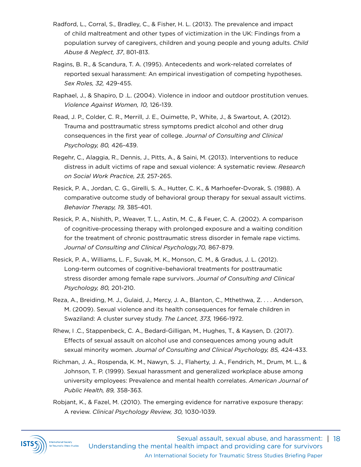- Radford, L., Corral, S., Bradley, C., & Fisher, H. L. (2013). The prevalence and impact of child maltreatment and other types of victimization in the UK: Findings from a population survey of caregivers, children and young people and young adults. *Child Abuse & Neglect, 37*, 801-813.
- Ragins, B. R., & Scandura, T. A. (1995). Antecedents and work-related correlates of reported sexual harassment: An empirical investigation of competing hypotheses. *Sex Roles, 32,* 429-455.
- Raphael, J., & Shapiro, D .L. (2004). Violence in indoor and outdoor prostitution venues. *Violence Against Women, 10,* 126-139.
- Read, J. P., Colder, C. R., Merrill, J. E., Ouimette, P., White, J., & Swartout, A. (2012). Trauma and posttraumatic stress symptoms predict alcohol and other drug consequences in the first year of college. *Journal of Consulting and Clinical Psychology, 80,* 426-439.
- Regehr, C., Alaggia, R., Dennis, J., Pitts, A., & Saini, M. (2013). Interventions to reduce distress in adult victims of rape and sexual violence: A systematic review. *Research on Social Work Practice, 23,* 257-265.
- Resick, P. A., Jordan, C. G., Girelli, S. A., Hutter, C. K., & Marhoefer-Dvorak, S. (1988). A comparative outcome study of behavioral group therapy for sexual assault victims. *Behavior Therapy, 19,* 385-401.
- Resick, P. A., Nishith, P., Weaver, T. L., Astin, M. C., & Feuer, C. A. (2002). A comparison of cognitive-processing therapy with prolonged exposure and a waiting condition for the treatment of chronic posttraumatic stress disorder in female rape victims. *Journal of Consulting and Clinical Psychology,70,* 867-879.
- Resick, P. A., Williams, L. F., Suvak, M. K., Monson, C. M., & Gradus, J. L. (2012). Long-term outcomes of cognitive–behavioral treatments for posttraumatic stress disorder among female rape survivors. *Journal of Consulting and Clinical Psychology, 80,* 201-210.
- Reza, A., Breiding, M. J., Gulaid, J., Mercy, J. A., Blanton, C., Mthethwa, Z. . . . Anderson, M. (2009). Sexual violence and its health consequences for female children in Swaziland: A cluster survey study. *The Lancet, 373,* 1966-1972.
- Rhew, I .C., Stappenbeck, C. A., Bedard-Gilligan, M., Hughes, T., & Kaysen, D. (2017). Effects of sexual assault on alcohol use and consequences among young adult sexual minority women. *Journal of Consulting and Clinical Psychology, 85,* 424-433.
- Richman, J. A., Rospenda, K. M., Nawyn, S. J., Flaherty, J. A., Fendrich, M., Drum, M. L., & Johnson, T. P. (1999). Sexual harassment and generalized workplace abuse among university employees: Prevalence and mental health correlates. *American Journal of Public Health, 89,* 358-363.
- Robjant, K., & Fazel, M. (2010). The emerging evidence for narrative exposure therapy: A review. *Clinical Psychology Review, 30,* 1030-1039.

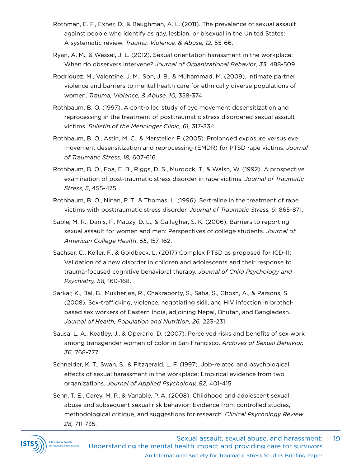- Rothman, E. F., Exner, D., & Baughman, A. L. (2011). The prevalence of sexual assault against people who identify as gay, lesbian, or bisexual in the United States: A systematic review. *Trauma, Violence, & Abuse, 12,* 55-66.
- Ryan, A. M., & Wessel, J. L. (2012). Sexual orientation harassment in the workplace: When do observers intervene? *Journal of Organizational Behavior*, *33*, 488-509.
- Rodriguez, M., Valentine, J. M., Son, J. B., & Muhammad, M. (2009). Intimate partner violence and barriers to mental health care for ethnically diverse populations of women. *Trauma, Violence, & Abuse, 10,* 358-374.
- Rothbaum, B. O. (1997). A controlled study of eye movement desensitization and reprocessing in the treatment of posttraumatic stress disordered sexual assault victims. *Bulletin of the Menninger Clinic, 61,* 317-334.
- Rothbaum, B. O., Astin, M. C., & Marsteller, F. (2005). Prolonged exposure versus eye movement desensitization and reprocessing (EMDR) for PTSD rape victims. *Journal of Traumatic Stress*, *18,* 607-616.
- Rothbaum, B. O., Foa, E. B., Riggs, D. S., Murdock, T., & Walsh, W. (1992). A prospective examination of post‐traumatic stress disorder in rape victims. *Journal of Traumatic Stress*, *5*, 455-475.
- Rothbaum, B. O., Ninan, P. T., & Thomas, L. (1996). Sertraline in the treatment of rape victims with posttraumatic stress disorder. *Journal of Traumatic Stress, 9,* 865-871.
- Sable, M. R., Danis, F., Mauzy, D. L., & Gallagher, S. K. (2006). Barriers to reporting sexual assault for women and men: Perspectives of college students. *Journal of American College Health*, *55*, 157-162.
- Sachser, C., Keller, F., & Goldbeck, L. (2017) Complex PTSD as proposed for ICD-11: Validation of a new disorder in children and adolescents and their response to trauma-focused cognitive behavioral therapy. *Journal of Child Psychology and Psychiatry, 58,* 160-168.
- Sarkar, K., Bal, B., Mukherjee, R., Chakraborty, S., Saha, S., Ghosh, A., & Parsons, S. (2008). Sex-trafficking, violence, negotiating skill, and HIV infection in brothelbased sex workers of Eastern India, adjoining Nepal, Bhutan, and Bangladesh. *Journal of Health, Population and Nutrition, 26,* 223-231.
- Sausa, L. A., Keatley, J., & Operario, D. (2007). Perceived risks and benefits of sex work among transgender women of color in San Francisco. *Archives of Sexual Behavior, 36,* 768-777.
- Schneider, K. T., Swan, S., & Fitzgerald, L. F. (1997). Job-related and psychological effects of sexual harassment in the workplace: Empirical evidence from two organizations. *Journal of Applied Psychology, 82,* 401-415.
- Senn, T. E., Carey, M. P., & Vanable, P. A. (2008). Childhood and adolescent sexual abuse and subsequent sexual risk behavior: Evidence from controlled studies, methodological critique, and suggestions for research. *Clinical Psychology Review 28,* 711-735.

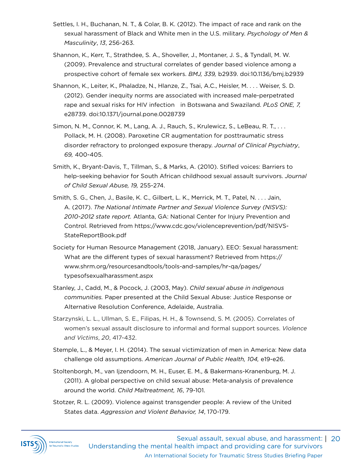- Settles, I. H., Buchanan, N. T., & Colar, B. K. (2012). The impact of race and rank on the sexual harassment of Black and White men in the U.S. military. *Psychology of Men & Masculinity*, *13*, 256-263.
- Shannon, K., Kerr, T., Strathdee, S. A., Shoveller, J., Montaner, J. S., & Tyndall, M. W. (2009). Prevalence and structural correlates of gender based violence among a prospective cohort of female sex workers. *BMJ, 339,* b2939. doi:10.1136/bmj.b2939
- Shannon, K., Leiter, K., Phaladze, N., Hlanze, Z., Tsai, A.C., Heisler, M. . . . Weiser, S. D. (2012). Gender inequity norms are associated with increased male-perpetrated rape and sexual risks for HIV infection in Botswana and Swaziland. *PLoS ONE, 7,*  e28739. doi:10.1371/journal.pone.0028739
- Simon, N. M., Connor, K. M., Lang, A. J., Rauch, S., Krulewicz, S., LeBeau, R. T., . . . Pollack, M. H. (2008). Paroxetine CR augmentation for posttraumatic stress disorder refractory to prolonged exposure therapy. *Journal of Clinical Psychiatry*, *69,* 400-405.
- Smith, K., Bryant-Davis, T., Tillman, S., & Marks, A. (2010). Stifled voices: Barriers to help-seeking behavior for South African childhood sexual assault survivors. *Journal of Child Sexual Abuse, 19,* 255-274.
- Smith, S. G., Chen, J., Basile, K. C., Gilbert, L. K., Merrick, M. T., Patel, N. . . . Jain, A. (2017). *The National Intimate Partner and Sexual Violence Survey (NISVS): 2010-2012 state report.* Atlanta, GA: National Center for Injury Prevention and Control. Retrieved from https://www.cdc.gov/violenceprevention/pdf/NISVS-StateReportBook.pdf
- Society for Human Resource Management (2018, January). EEO: Sexual harassment: What are the different types of sexual harassment? Retrieved from https:// www.shrm.org/resourcesandtools/tools-and-samples/hr-qa/pages/ typesofsexualharassment.aspx
- Stanley, J., Cadd, M., & Pocock, J. (2003, May). *Child sexual abuse in indigenous communities.* Paper presented at the Child Sexual Abuse: Justice Response or Alternative Resolution Conference, Adelaide, Australia.
- Starzynski, L. L., Ullman, S. E., Filipas, H. H., & Townsend, S. M. (2005). Correlates of women's sexual assault disclosure to informal and formal support sources. *Violence and Victims*, *20*, 417-432.
- Stemple, L., & Meyer, I. H. (2014). The sexual victimization of men in America: New data challenge old assumptions. *American Journal of Public Health, 104,* e19-e26.
- Stoltenborgh, M., van Ijzendoorn, M. H., Euser, E. M., & Bakermans-Kranenburg, M. J. (2011). A global perspective on child sexual abuse: Meta-analysis of prevalence around the world. *Child Maltreatment, 16*, 79-101.
- Stotzer, R. L. (2009). Violence against transgender people: A review of the United States data. *Aggression and Violent Behavior, 14*, 170-179.

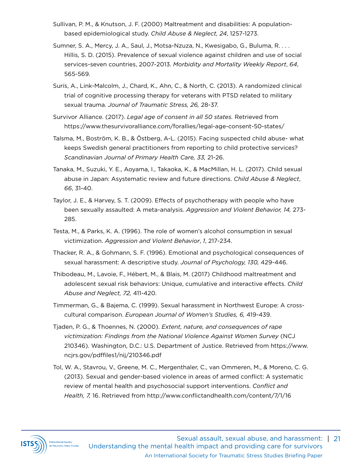- Sullivan, P. M., & Knutson, J. F. (2000) Maltreatment and disabilities: A populationbased epidemiological study. *Child Abuse & Neglect, 24*, 1257-1273.
- Sumner, S. A., Mercy, J. A., Saul, J., Motsa-Nzuza, N., Kwesigabo, G., Buluma, R. . . . Hillis, S. D. (2015). Prevalence of sexual violence against children and use of social services-seven countries, 2007-2013. *Morbidity and Mortality Weekly Report*, *64*, 565-569.
- Surís, A., Link-Malcolm, J., Chard, K., Ahn, C., & North, C. (2013). A randomized clinical trial of cognitive processing therapy for veterans with PTSD related to military sexual trauma. *Journal of Traumatic Stress, 26,* 28-37.
- Survivor Alliance. (2017). *Legal age of consent in all 50 states.* Retrieved from https://www.thesurvivoralliance.com/forallies/legal-age-consent-50-states/
- Talsma, M., Boström, K. B., & Östberg, A-L. (2015). Facing suspected child abuse- what keeps Swedish general practitioners from reporting to child protective services? *Scandinavian Journal of Primary Health Care, 33,* 21-26.
- Tanaka, M., Suzuki, Y. E., Aoyama, I., Takaoka, K., & MacMillan, H. L. (2017). Child sexual abuse in Japan: Asystematic review and future directions. *Child Abuse & Neglect*, *66*, 31-40.
- Taylor, J. E., & Harvey, S. T. (2009). Effects of psychotherapy with people who have been sexually assaulted: A meta-analysis. *Aggression and Violent Behavior, 14,* 273- 285.
- Testa, M., & Parks, K. A. (1996). The role of women's alcohol consumption in sexual victimization. *Aggression and Violent Behavior*, *1*, 217-234.
- Thacker, R. A., & Gohmann, S. F. (1996). Emotional and psychological consequences of sexual harassment: A descriptive study. *Journal of Psychology, 130,* 429-446.
- Thibodeau, M., Lavoie, F., Hébert, M., & Blais, M. (2017) Childhood maltreatment and adolescent sexual risk behaviors: Unique, cumulative and interactive effects. *Child Abuse and Neglect, 72,* 411-420.
- Timmerman, G., & Bajema, C. (1999). Sexual harassment in Northwest Europe: A crosscultural comparison. *European Journal of Women's Studies, 6,* 419-439.
- Tjaden, P. G., & Thoennes, N. (2000). *Extent, nature, and consequences of rape victimization: Findings from the National Violence Against Women Survey* (NCJ 210346)*.* Washington, D.C.: U.S. Department of Justice. Retrieved from https://www. ncjrs.gov/pdffiles1/nij/210346.pdf
- Tol, W. A., Stavrou, V., Greene, M. C., Mergenthaler, C., van Ommeren, M., & Moreno, C. G. (2013). Sexual and gender-based violence in areas of armed conflict: A systematic review of mental health and psychosocial support interventions. *Conflict and Health, 7,* 16. Retrieved from http://www.conflictandhealth.com/content/7/1/16

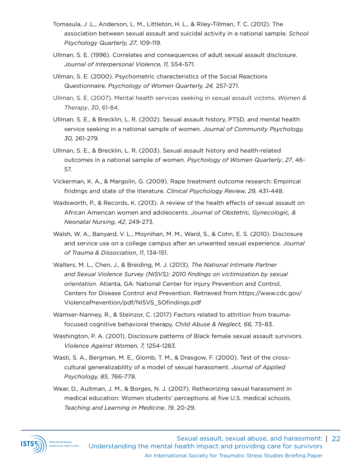- Tomasula, J .L., Anderson, L. M., Littleton, H. L., & Riley-Tillman, T. C. (2012). The association between sexual assault and suicidal activity in a national sample. *School Psychology Quarterly, 27*, 109-119.
- Ullman, S. E. (1996). Correlates and consequences of adult sexual assault disclosure. *Journal of Interpersonal Violence, 11,* 554-571.
- Ullman, S. E. (2000). Psychometric characteristics of the Social Reactions Questionnaire. *Psychology of Women Quarterly, 24,* 257-271.
- Ullman, S. E. (2007). Mental health services seeking in sexual assault victims. *Women & Therapy*, *30*, 61-84.
- Ullman, S. E., & Brecklin, L. R. (2002). Sexual assault history, PTSD, and mental health service seeking in a national sample of women. *Journal of Community Psychology, 30,* 261-279.
- Ullman, S. E., & Brecklin, L. R. (2003). Sexual assault history and health-related outcomes in a national sample of women. *Psychology of Women Quarterly*, *27*, 46- 57.
- Vickerman, K. A., & Margolin, G. (2009). Rape treatment outcome research: Empirical findings and state of the literature. *Clinical Psychology Review, 29,* 431-448.
- Wadsworth, P., & Records, K. (2013). A review of the health effects of sexual assault on African American women and adolescents. *Journal of Obstetric, Gynecologic, & Neonatal Nursing*, *42*, 249-273.
- Walsh, W. A., Banyard, V. L., Moynihan, M. M., Ward, S., & Cohn, E. S. (2010). Disclosure and service use on a college campus after an unwanted sexual experience. *Journal of Trauma & Dissociation*, *11*, 134-151.
- Walters, M. L., Chen, J., & Breiding, M. J. (2013). *The National Intimate Partner and Sexual Violence Survey (NISVS): 2010 findings on victimization by sexual orientation.* Atlanta, GA: National Center for Injury Prevention and Control, Centers for Disease Control and Prevention. Retrieved from https://www.cdc.gov/ ViolencePrevention/pdf/NISVS\_SOfindings.pdf
- Wamser-Nanney, R., & Steinzor, C. (2017) Factors related to attrition from traumafocused cognitive behavioral therapy. *Child Abuse & Neglect, 66,* 73–83.
- Washington, P. A. (2001). Disclosure patterns of Black female sexual assault survivors. *Violence Against Women, 7,* 1254-1283.
- Wasti, S. A., Bergman, M. E., Glomb, T. M., & Drasgow, F. (2000). Test of the crosscultural generalizability of a model of sexual harassment. *Journal of Applied Psychology, 85*, 766-778.
- Wear, D., Aultman, J. M., & Borges, N. J. (2007). Retheorizing sexual harassment in medical education: Women students' perceptions at five U.S. medical schools. *Teaching and Learning in Medicine*, *19*, 20-29.

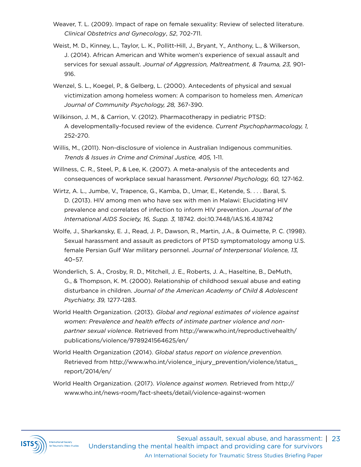- Weaver, T. L. (2009). Impact of rape on female sexuality: Review of selected literature. *Clinical Obstetrics and Gynecology*, *52*, 702-711.
- Weist, M. D., Kinney, L., Taylor, L. K., Pollitt-Hill, J., Bryant, Y., Anthony, L., & Wilkerson, J. (2014). African American and White women's experience of sexual assault and services for sexual assault. *Journal of Aggression, Maltreatment, & Trauma, 23,* 901- 916.
- Wenzel, S. L., Koegel, P., & Gelberg, L. (2000). Antecedents of physical and sexual victimization among homeless women: A comparison to homeless men. *American Journal of Community Psychology, 28,* 367-390.
- Wilkinson, J. M., & Carrion, V. (2012). Pharmacotherapy in pediatric PTSD: A developmentally-focused review of the evidence. *Current Psychopharmacology, 1,* 252-270.
- Willis, M., (2011). Non-disclosure of violence in Australian Indigenous communities. *Trends & Issues in Crime and Criminal Justice, 405,* 1-11.
- Willness, C. R., Steel, P., & Lee, K. (2007). A meta-analysis of the antecedents and consequences of workplace sexual harassment. *Personnel Psychology, 60,* 127-162.
- Wirtz, A. L., Jumbe, V., Trapence, G., Kamba, D., Umar, E., Ketende, S. . . . Baral, S. D. (2013). HIV among men who have sex with men in Malawi: Elucidating HIV prevalence and correlates of infection to inform HIV prevention. *Journal of the International AIDS Society, 16, Supp. 3,* 18742. doi:10.7448/IAS.16.4.18742
- Wolfe, J., Sharkansky, E. J., Read, J. P., Dawson, R., Martin, J.A., & Ouimette, P. C. (1998). Sexual harassment and assault as predictors of PTSD symptomatology among U.S. female Persian Gulf War military personnel. *Journal of Interpersonal Violence, 13,* 40–57.
- Wonderlich, S. A., Crosby, R. D., Mitchell, J. E., Roberts, J. A., Haseltine, B., DeMuth, G., & Thompson, K. M. (2000). Relationship of childhood sexual abuse and eating disturbance in children. *Journal of the American Academy of Child & Adolescent Psychiatry, 39,* 1277-1283.
- World Health Organization. (2013). *Global and regional estimates of violence against women: Prevalence and health effects of intimate partner violence and nonpartner sexual violence*. Retrieved from http://www.who.int/reproductivehealth/ publications/violence/9789241564625/en/
- World Health Organization (2014). *Global status report on violence prevention.* Retrieved from http://www.who.int/violence\_injury\_prevention/violence/status\_ report/2014/en/
- World Health Organization. (2017). *Violence against women.* Retrieved from http:// www.who.int/news-room/fact-sheets/detail/violence-against-women